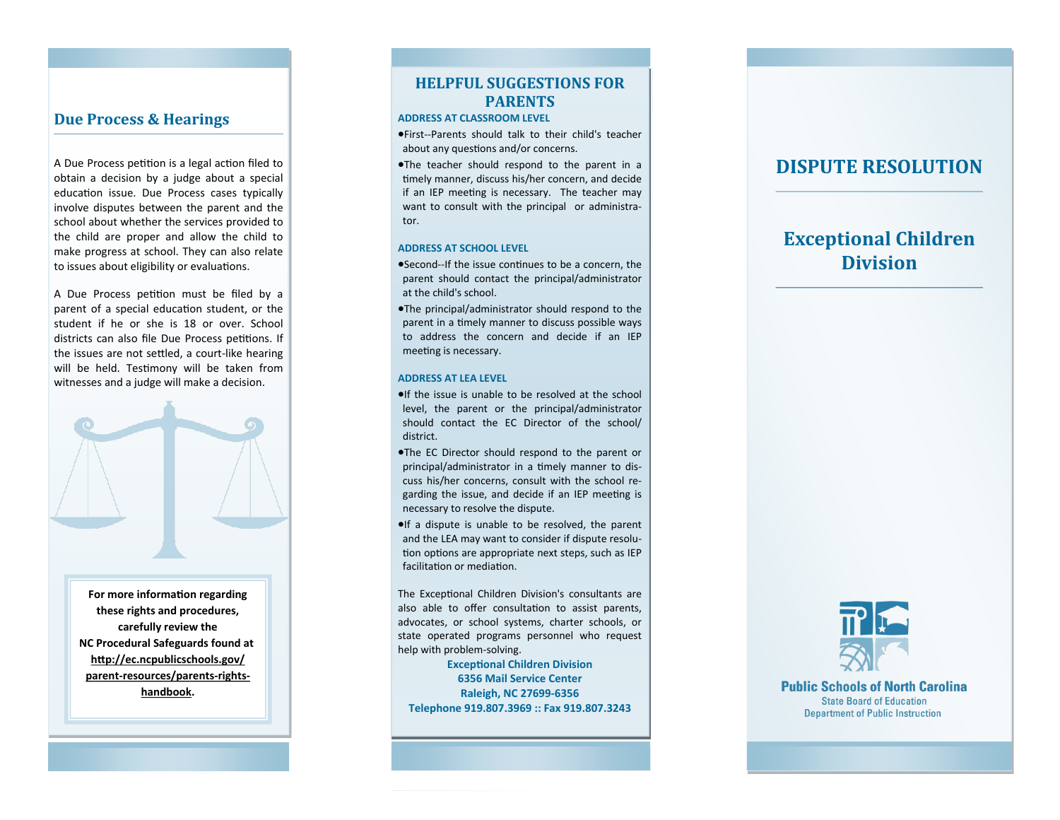## **Due Process & Hearings**

A Due Process petition is a legal action filed to obtain a decision by a judge about a special education issue. Due Process cases typically involve disputes between the parent and the school about whether the services provided to the child are proper and allow the child to make progress at school. They can also relate to issues about eligibility or evaluations.

A Due Process petition must be filed by a parent of a special education student, or the student if he or she is 18 or over. School districts can also file Due Process petitions. If the issues are not settled, a court -like hearing will be held. Testimony will be taken from witnesses and a judge will make a decision.



**For more information regarding these rights and procedures, carefully review the NC Procedural Safeguards found at [http://ec.ncpublicschools.gov/](http://ec.ncpublicschools.gov/parent-resources/parents-rights-handbook) parent -[resources/parents](http://ec.ncpublicschools.gov/parent-resources/parents-rights-handbook) -rights [handbook](http://ec.ncpublicschools.gov/parent-resources/parents-rights-handbook) .**

## **HELPFUL SUGGESTIONS FOR PARENTS**

### **ADDRESS AT CLASSROOM LEVEL**

First--Parents should talk to their child's teacher about any questions and/or concerns.

The teacher should respond to the parent in a timely manner, discuss his/her concern, and decide if an IEP meeting is necessary. The teacher may want to consult with the principal or administrator.

#### **ADDRESS AT SCHOOL LEVEL**

- Second--If the issue continues to be a concern, the parent should contact the principal/administrator at the child's school.
- The principal/administrator should respond to the parent in a timely manner to discuss possible ways to address the concern and decide if an IEP meeting is necessary.

#### **ADDRESS AT LEA LEVEL**

- **If the issue is unable to be resolved at the school** level, the parent or the principal/administrator should contact the EC Director of the school/ district.
- The EC Director should respond to the parent or principal/administrator in a timely manner to discuss his/her concerns, consult with the school regarding the issue, and decide if an IEP meeting is necessary to resolve the dispute.
- $\bullet$ If a dispute is unable to be resolved, the parent and the LEA may want to consider if dispute resolution options are appropriate next steps, such as IEP facilitation or mediation.

The Exceptional Children Division's consultants are also able to offer consultation to assist parents, advocates, or school systems, charter schools, or state operated programs personnel who request help with problem -solving.

### **Exceptional Children Division 6356 Mail Service Center Raleigh, NC 27699 -6356 Telephone 919.807.3969 :: Fax 919.807.3243**

# **DISPUTE RESOLUTION**

# **Exceptional Children Division**



**Public Schools of North Carolina State Board of Education Department of Public Instruction**